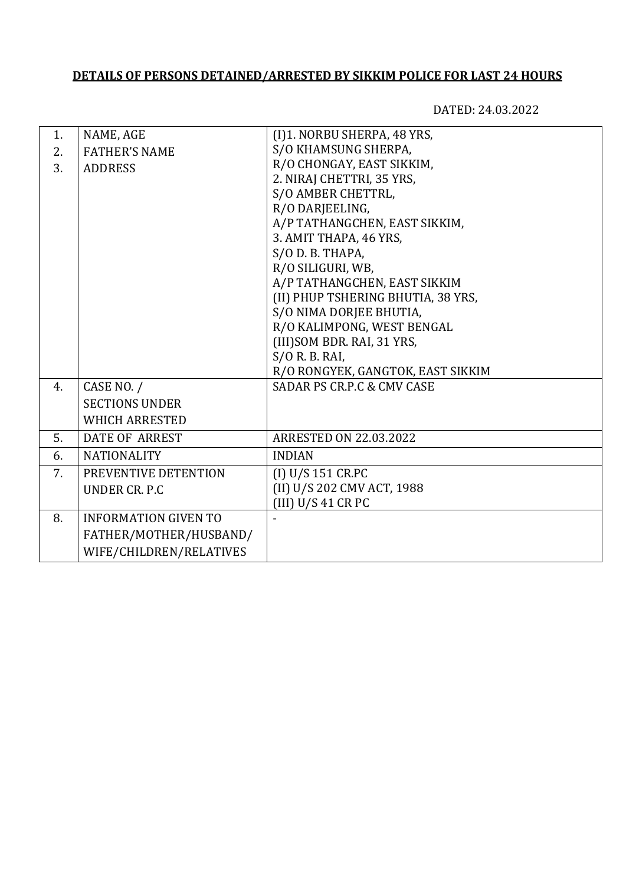## **DETAILS OF PERSONS DETAINED/ARRESTED BY SIKKIM POLICE FOR LAST 24 HOURS**

DATED: 24.03.2022

| 1. | NAME, AGE                   | (I)1. NORBU SHERPA, 48 YRS,           |
|----|-----------------------------|---------------------------------------|
| 2. | <b>FATHER'S NAME</b>        | S/O KHAMSUNG SHERPA,                  |
| 3. | <b>ADDRESS</b>              | R/O CHONGAY, EAST SIKKIM,             |
|    |                             | 2. NIRAJ CHETTRI, 35 YRS,             |
|    |                             | S/O AMBER CHETTRL,                    |
|    |                             | R/O DARJEELING,                       |
|    |                             | A/P TATHANGCHEN, EAST SIKKIM,         |
|    |                             | 3. AMIT THAPA, 46 YRS,                |
|    |                             | S/O D. B. THAPA,                      |
|    |                             | R/O SILIGURI, WB,                     |
|    |                             | A/P TATHANGCHEN, EAST SIKKIM          |
|    |                             | (II) PHUP TSHERING BHUTIA, 38 YRS,    |
|    |                             | S/O NIMA DORJEE BHUTIA,               |
|    |                             | R/O KALIMPONG, WEST BENGAL            |
|    |                             | (III) SOM BDR. RAI, 31 YRS,           |
|    |                             | $S/O$ R. B. RAI,                      |
|    |                             | R/O RONGYEK, GANGTOK, EAST SIKKIM     |
| 4. | CASE NO. /                  | <b>SADAR PS CR.P.C &amp; CMV CASE</b> |
|    | <b>SECTIONS UNDER</b>       |                                       |
|    | <b>WHICH ARRESTED</b>       |                                       |
| 5. | <b>DATE OF ARREST</b>       | <b>ARRESTED ON 22.03.2022</b>         |
| 6. | <b>NATIONALITY</b>          | <b>INDIAN</b>                         |
| 7. | PREVENTIVE DETENTION        | (I) U/S 151 CR.PC                     |
|    | UNDER CR. P.C               | (II) U/S 202 CMV ACT, 1988            |
|    |                             | (III) U/S 41 CR PC                    |
| 8. | <b>INFORMATION GIVEN TO</b> |                                       |
|    | FATHER/MOTHER/HUSBAND/      |                                       |
|    | WIFE/CHILDREN/RELATIVES     |                                       |
|    |                             |                                       |